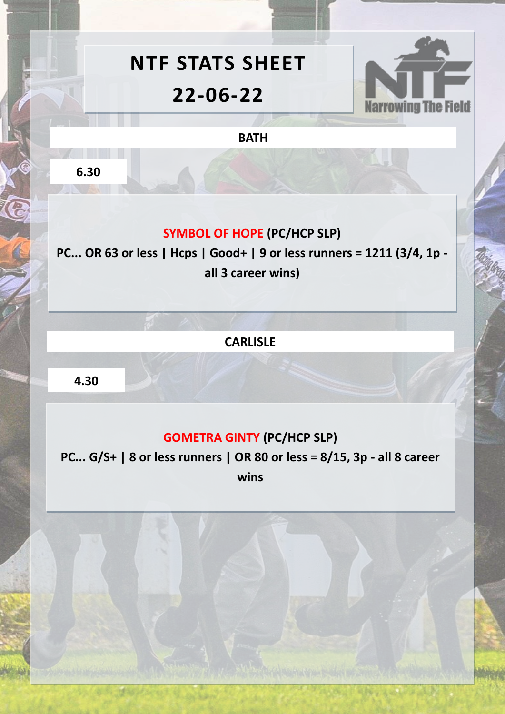# **NTF STATS SHEET 22-06-22**



**BATH**

**6.30**

# **SYMBOL OF HOPE (PC/HCP SLP)**

**PC... OR 63 or less | Hcps | Good+ | 9 or less runners = 1211 (3/4, 1p all 3 career wins)** 

**CARLISLE**

**4.30**

# **GOMETRA GINTY (PC/HCP SLP)**

**PC... G/S+ | 8 or less runners | OR 80 or less = 8/15, 3p - all 8 career wins**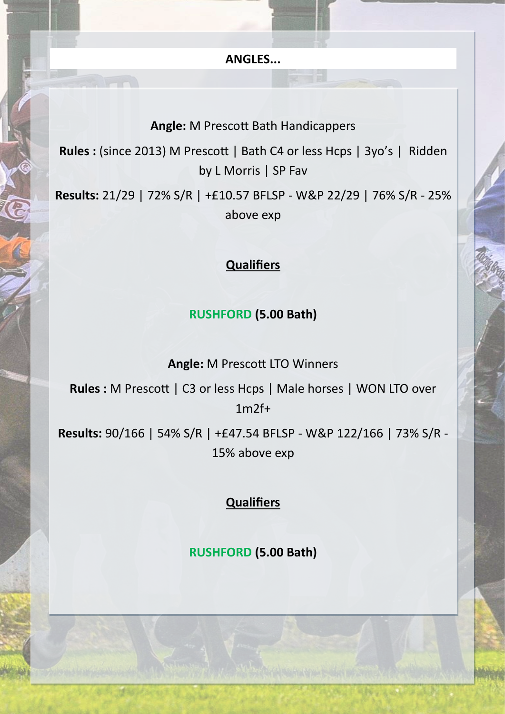**ANGLES...**

#### **Angle:** M Prescott Bath Handicappers

**Rules :** (since 2013) M Prescott | Bath C4 or less Hcps | 3yo's | Ridden by L Morris | SP Fav

**Results:** 21/29 | 72% S/R | +£10.57 BFLSP - W&P 22/29 | 76% S/R - 25% above exp

## **Qualifiers**

### **RUSHFORD (5.00 Bath)**

**Angle:** M Prescott LTO Winners

**Rules :** M Prescott | C3 or less Hcps | Male horses | WON LTO over 1m2f+

**Results:** 90/166 | 54% S/R | +£47.54 BFLSP - W&P 122/166 | 73% S/R - 15% above exp

## **Qualifiers**

**RUSHFORD (5.00 Bath)**